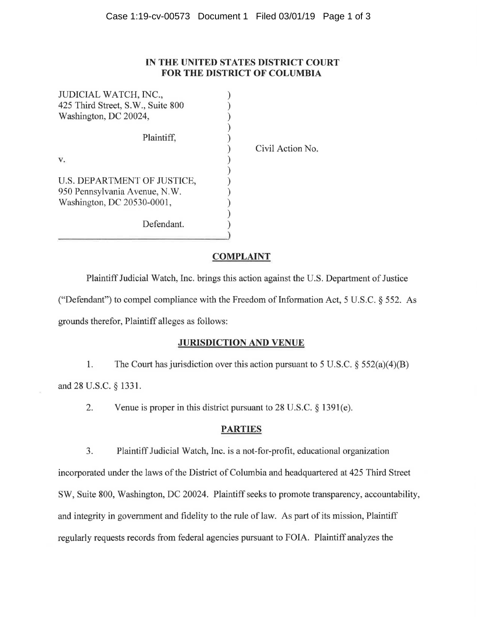#### **IN THE UNITED STATES DISTRICT COURT FOR THE DISTRICT OF COLUMBIA**

| JUDICIAL WATCH, INC.,             |  |
|-----------------------------------|--|
| 425 Third Street, S.W., Suite 800 |  |
| Washington, DC 20024,             |  |
|                                   |  |
| Plaintiff.                        |  |
|                                   |  |
|                                   |  |
|                                   |  |
| U.S. DEPARTMENT OF JUSTICE,       |  |
| 950 Pennsylvania Avenue, N.W.     |  |
| Washington, DC 20530-0001,        |  |
|                                   |  |
| Defendant.                        |  |
|                                   |  |

Civil Action No.

## **COMPLAINT**

Plaintiff Judicial Watch, Inc. brings this action against the U.S. Department of Justice ("Defendant") to compel compliance with the Freedom of Information Act,  $5 \text{ U.S.C.}$  § 552. As grounds therefor, Plaintiff alleges as follows:

#### **JURISDICTION AND VENUE**

1. The Court has jurisdiction over this action pursuant to 5 U.S.C.  $\S 552(a)(4)(B)$ and 28 U.S.C. § 1331.

2. Venue is proper in this district pursuant to 28 U.S.C. § 1391(e).

## **PARTIES**

3. Plaintiff Judicial Watch, Inc. is a not-for-profit, educational organization incorporated under the laws of the District of Columbia and headquartered at 425 Third Street SW, Suite 800, Washington, DC 20024. Plaintiff seeks to promote transparency, accountability, and integrity in government and fidelity to the rule of law. As part of its mission, Plaintiff regularly requests records from federal agencies pursuant to FOIA. Plaintiff analyzes the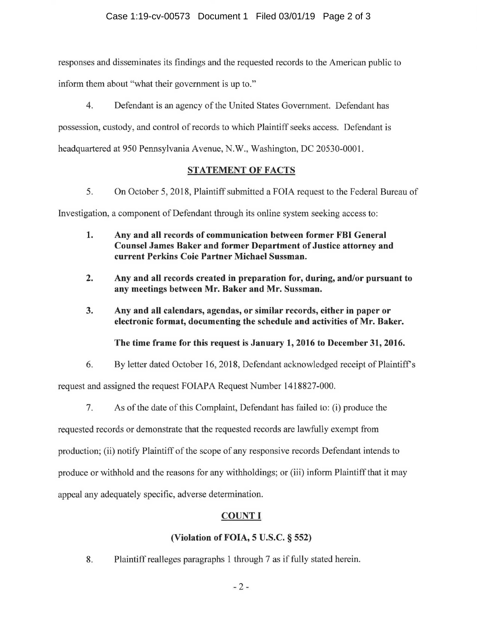responses and disseminates its findings and the requested records to the American public to inform them about "what their government is up to."

4. Defendant is an agency of the United States Government. Defendant has possession, custody, and control of records to which Plaintiff seeks access. Defendant is headquartered at 950 Pennsylvania Avenue, N.W., Washington, DC 20530-0001.

## **STATEMENT OF FACTS**

5. On October 5, 2018, Plaintiff submitted a FOIA request to the Federal Bureau of Investigation, a component of Defendant through its online system seeking access to:

- **1. Any and all records of communication between former FBI General Counsel James Baker and former Department of Justice attorney and current Perkins Coie Partner Michael Sussman.**
- **2. Any and all records created in preparation for, during, and/or pursuant to any meetings between Mr. Baker and Mr. Sussman.**
- **3. Any and all calendars, agendas, or similar records, either in paper or electronic format, documenting the schedule and activities of Mr. Baker.**

**The time frame for this request is January 1, 2016 to December 31, 2016.** 

6. By letter dated October 16, 2018, Defendant acknowledged receipt of Plaintiffs

request and assigned the request FOIAPA Request Number 1418827-000.

7. As of the date of this Complaint, Defendant has failed to: (i) produce the

requested records or demonstrate that the requested records are lawfully exempt from production; (ii) notify Plaintiff of the scope of any responsive records Defendant intends to produce or withhold and the reasons for any withholdings; or (iii) inform Plaintiff that it may appeal any adequately specific, adverse determination.

# **COUNTI**

# **(Violation of FOIA, 5 U.S.C.** § **552)**

8. Plaintiff realleges paragraphs 1 through 7 as if fully stated herein.